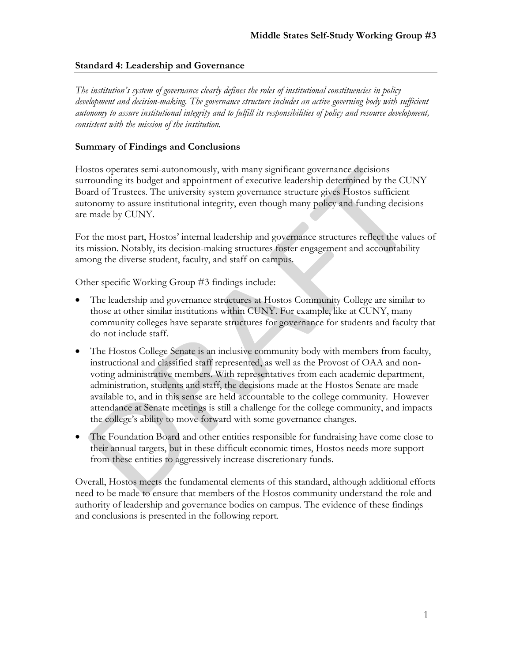#### **Standard 4: Leadership and Governance**

*The institution's system of governance clearly defines the roles of institutional constituencies in policy*  development and decision-making. The governance structure includes an active governing body with sufficient *autonomy to assure institutional integrity and to fulfill its responsibilities of policy and resource development, consistent with the mission of the institution.* 

## **Summary of Findings and Conclusions**

Hostos operates semi-autonomously, with many significant governance decisions surrounding its budget and appointment of executive leadership determined by the CUNY Board of Trustees. The university system governance structure gives Hostos sufficient autonomy to assure institutional integrity, even though many policy and funding decisions are made by CUNY.

For the most part, Hostos' internal leadership and governance structures reflect the values of its mission. Notably, its decision-making structures foster engagement and accountability among the diverse student, faculty, and staff on campus.

Other specific Working Group #3 findings include:

- The leadership and governance structures at Hostos Community College are similar to those at other similar institutions within CUNY. For example, like at CUNY, many community colleges have separate structures for governance for students and faculty that do not include staff.
- The Hostos College Senate is an inclusive community body with members from faculty, instructional and classified staff represented, as well as the Provost of OAA and nonvoting administrative members. With representatives from each academic department, administration, students and staff, the decisions made at the Hostos Senate are made available to, and in this sense are held accountable to the college community. However attendance at Senate meetings is still a challenge for the college community, and impacts the college's ability to move forward with some governance changes.
- The Foundation Board and other entities responsible for fundraising have come close to their annual targets, but in these difficult economic times, Hostos needs more support from these entities to aggressively increase discretionary funds.

Overall, Hostos meets the fundamental elements of this standard, although additional efforts need to be made to ensure that members of the Hostos community understand the role and authority of leadership and governance bodies on campus. The evidence of these findings and conclusions is presented in the following report.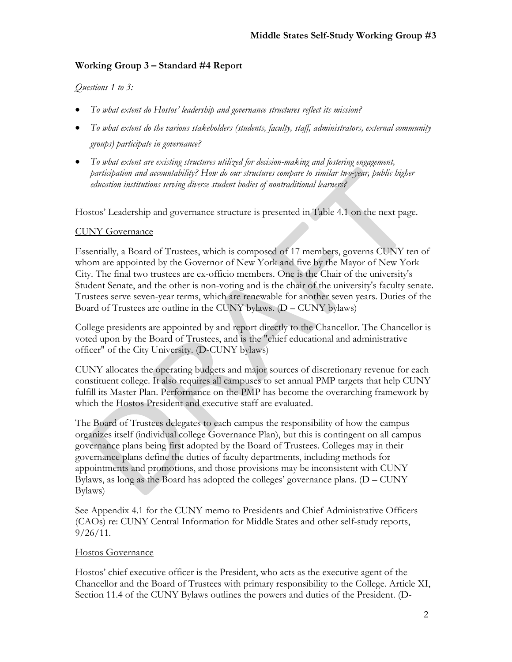# **Working Group 3 – Standard #4 Report**

## *Questions 1 to 3:*

- *To what extent do Hostos' leadership and governance structures reflect its mission?*
- *To what extent do the various stakeholders (students, faculty, staff, administrators, external community groups) participate in governance?*
- *To what extent are existing structures utilized for decision-making and fostering engagement, participation and accountability? How do our structures compare to similar two-year, public higher education institutions serving diverse student bodies of nontraditional learners?*

Hostos' Leadership and governance structure is presented in Table 4.1 on the next page.

## CUNY Governance

Essentially, a Board of Trustees, which is composed of 17 members, governs CUNY ten of whom are appointed by the Governor of New York and five by the Mayor of New York City. The final two trustees are ex-officio members. One is the Chair of the university's Student Senate, and the other is non-voting and is the chair of the university's faculty senate. Trustees serve seven-year terms, which are renewable for another seven years. Duties of the Board of Trustees are outline in the CUNY bylaws. (D – CUNY bylaws)

College presidents are appointed by and report directly to the Chancellor. The Chancellor is voted upon by the Board of Trustees, and is the "chief educational and administrative officer" of the City University. (D-CUNY bylaws)

CUNY allocates the operating budgets and major sources of discretionary revenue for each constituent college. It also requires all campuses to set annual PMP targets that help CUNY fulfill its Master Plan. Performance on the PMP has become the overarching framework by which the Hostos President and executive staff are evaluated.

The Board of Trustees delegates to each campus the responsibility of how the campus organizes itself (individual college Governance Plan), but this is contingent on all campus governance plans being first adopted by the Board of Trustees. Colleges may in their governance plans define the duties of faculty departments, including methods for appointments and promotions, and those provisions may be inconsistent with CUNY Bylaws, as long as the Board has adopted the colleges' governance plans. (D – CUNY Bylaws)

See Appendix 4.1 for the CUNY memo to Presidents and Chief Administrative Officers (CAOs) re: CUNY Central Information for Middle States and other self-study reports,  $9/26/11$ .

#### Hostos Governance

Hostos' chief executive officer is the President, who acts as the executive agent of the Chancellor and the Board of Trustees with primary responsibility to the College. Article XI, Section 11.4 of the CUNY Bylaws outlines the powers and duties of the President. (D-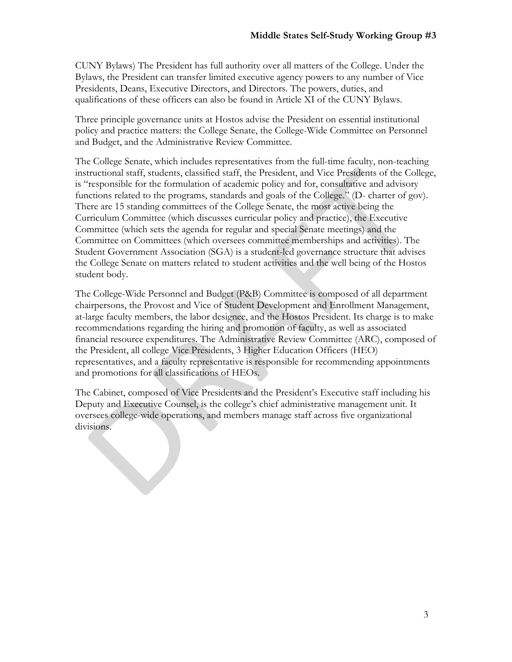CUNY Bylaws) The President has full authority over all matters of the College. Under the Bylaws, the President can transfer limited executive agency powers to any number of Vice Presidents, Deans, Executive Directors, and Directors. The powers, duties, and qualifications of these officers can also be found in Article XI of the CUNY Bylaws.

Three principle governance units at Hostos advise the President on essential institutional policy and practice matters: the College Senate, the College-Wide Committee on Personnel and Budget, and the Administrative Review Committee.

The College Senate, which includes representatives from the full-time faculty, non-teaching instructional staff, students, classified staff, the President, and Vice Presidents of the College, is "responsible for the formulation of academic policy and for, consultative and advisory functions related to the programs, standards and goals of the College." (D- charter of gov). There are 15 standing committees of the College Senate, the most active being the Curriculum Committee (which discusses curricular policy and practice), the Executive Committee (which sets the agenda for regular and special Senate meetings) and the Committee on Committees (which oversees committee memberships and activities). The Student Government Association (SGA) is a student-led governance structure that advises the College Senate on matters related to student activities and the well being of the Hostos student body.

The College-Wide Personnel and Budget (P&B) Committee is composed of all department chairpersons, the Provost and Vice of Student Development and Enrollment Management, at-large faculty members, the labor designee, and the Hostos President. Its charge is to make recommendations regarding the hiring and promotion of faculty, as well as associated financial resource expenditures. The Administrative Review Committee (ARC), composed of the President, all college Vice Presidents, 3 Higher Education Officers (HEO) representatives, and a faculty representative is responsible for recommending appointments and promotions for all classifications of HEOs.

The Cabinet, composed of Vice Presidents and the President's Executive staff including his Deputy and Executive Counsel, is the college's chief administrative management unit. It oversees college-wide operations, and members manage staff across five organizational divisions.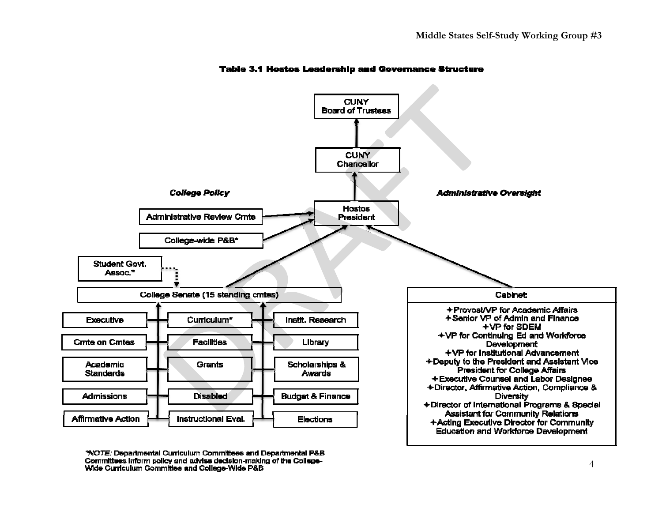

#### **Table 3.1 Hostos Leadership and Governance Structure**

"NOTE: Departmental Curriculum Committees and Departmental P&B Committees inform policy and advise decision-making of the College-Wide Curriculum Committee and College-Wide P&B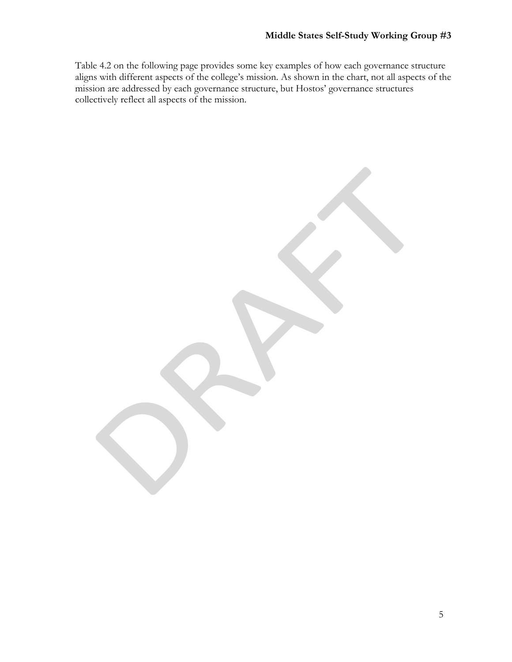Table 4.2 on the following page provides some key examples of how each governance structure aligns with different aspects of the college's mission. As shown in the chart, not all aspects of the mission are addressed by each governance structure, but Hostos' governance structures collectively reflect all aspects of the mission.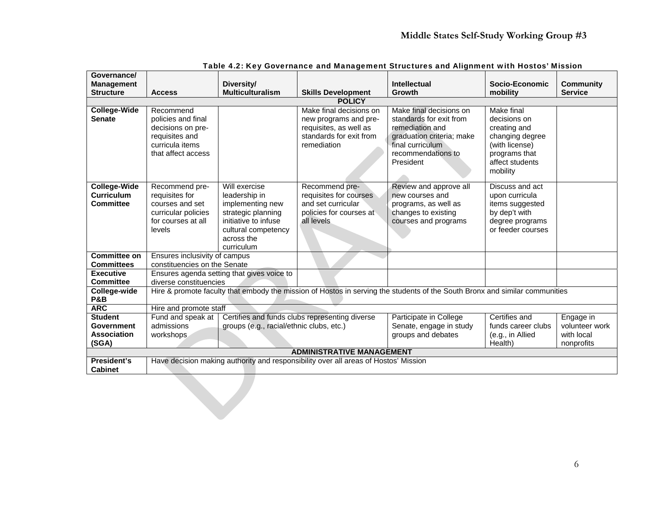| Governance/<br><b>Management</b>                                   |                                                                                                                             | Diversity/                                                                                                                                          |                                                                                                                      | Intellectual                                                                                                                                              | Socio-Economic                                                                                                                         | <b>Community</b>                                        |  |
|--------------------------------------------------------------------|-----------------------------------------------------------------------------------------------------------------------------|-----------------------------------------------------------------------------------------------------------------------------------------------------|----------------------------------------------------------------------------------------------------------------------|-----------------------------------------------------------------------------------------------------------------------------------------------------------|----------------------------------------------------------------------------------------------------------------------------------------|---------------------------------------------------------|--|
| <b>Structure</b>                                                   | <b>Access</b>                                                                                                               | <b>Multiculturalism</b>                                                                                                                             | <b>Skills Development</b>                                                                                            | Growth                                                                                                                                                    | mobility                                                                                                                               | <b>Service</b>                                          |  |
|                                                                    |                                                                                                                             |                                                                                                                                                     | <b>POLICY</b>                                                                                                        |                                                                                                                                                           |                                                                                                                                        |                                                         |  |
| <b>College-Wide</b><br><b>Senate</b>                               | Recommend<br>policies and final<br>decisions on pre-<br>requisites and<br>curricula items<br>that affect access             |                                                                                                                                                     | Make final decisions on<br>new programs and pre-<br>requisites, as well as<br>standards for exit from<br>remediation | Make final decisions on<br>standards for exit from<br>remediation and<br>graduation criteria; make<br>final curriculum<br>recommendations to<br>President | <b>Make final</b><br>decisions on<br>creating and<br>changing degree<br>(with license)<br>programs that<br>affect students<br>mobility |                                                         |  |
| <b>College-Wide</b><br><b>Curriculum</b><br><b>Committee</b>       | Recommend pre-<br>requisites for<br>courses and set<br>curricular policies<br>for courses at all<br>levels                  | Will exercise<br>leadership in<br>implementing new<br>strategic planning<br>initiative to infuse<br>cultural competency<br>across the<br>curriculum | Recommend pre-<br>requisites for courses<br>and set curricular<br>policies for courses at<br>all levels              | Review and approve all<br>new courses and<br>programs, as well as<br>changes to existing<br>courses and programs                                          | Discuss and act<br>upon curricula<br>items suggested<br>by dep't with<br>degree programs<br>or feeder courses                          |                                                         |  |
| <b>Committee on</b><br><b>Committees</b>                           | Ensures inclusivity of campus<br>constituencies on the Senate                                                               |                                                                                                                                                     |                                                                                                                      |                                                                                                                                                           |                                                                                                                                        |                                                         |  |
| <b>Executive</b><br><b>Committee</b>                               | diverse constituencies                                                                                                      | Ensures agenda setting that gives voice to                                                                                                          |                                                                                                                      |                                                                                                                                                           |                                                                                                                                        |                                                         |  |
| College-wide<br><b>P&amp;B</b>                                     | Hire & promote faculty that embody the mission of Hostos in serving the students of the South Bronx and similar communities |                                                                                                                                                     |                                                                                                                      |                                                                                                                                                           |                                                                                                                                        |                                                         |  |
| <b>ARC</b>                                                         | Hire and promote staff                                                                                                      |                                                                                                                                                     |                                                                                                                      |                                                                                                                                                           |                                                                                                                                        |                                                         |  |
| <b>Student</b><br><b>Government</b><br><b>Association</b><br>(SGA) | Fund and speak at<br>admissions<br>workshops                                                                                | groups (e.g., racial/ethnic clubs, etc.)                                                                                                            | Certifies and funds clubs representing diverse                                                                       | Participate in College<br>Senate, engage in study<br>groups and debates                                                                                   | Certifies and<br>funds career clubs<br>(e.g., in Allied<br>Health)                                                                     | Engage in<br>volunteer work<br>with local<br>nonprofits |  |
| <b>ADMINISTRATIVE MANAGEMENT</b>                                   |                                                                                                                             |                                                                                                                                                     |                                                                                                                      |                                                                                                                                                           |                                                                                                                                        |                                                         |  |
| President's<br><b>Cabinet</b>                                      |                                                                                                                             |                                                                                                                                                     | Have decision making authority and responsibility over all areas of Hostos' Mission                                  |                                                                                                                                                           |                                                                                                                                        |                                                         |  |
|                                                                    |                                                                                                                             |                                                                                                                                                     |                                                                                                                      |                                                                                                                                                           |                                                                                                                                        |                                                         |  |

| Table 4.2: Key Governance and Management Structures and Alignment with Hostos' Mission |  |
|----------------------------------------------------------------------------------------|--|
|                                                                                        |  |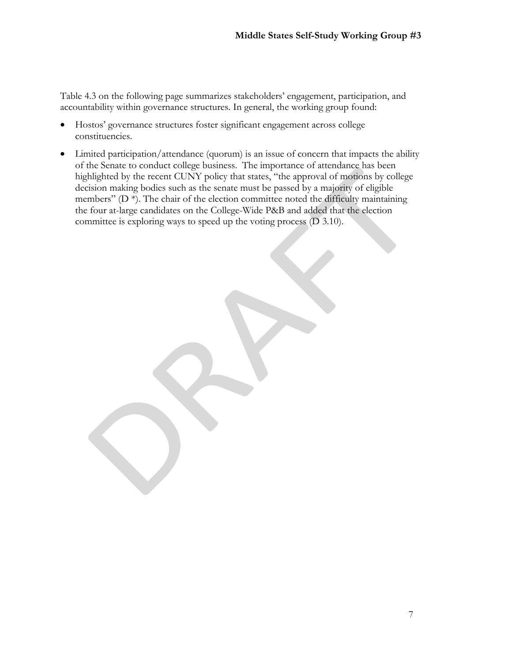Table 4.3 on the following page summarizes stakeholders' engagement, participation, and accountability within governance structures. In general, the working group found:

- Hostos' governance structures foster significant engagement across college constituencies.
- Limited participation/attendance (quorum) is an issue of concern that impacts the ability of the Senate to conduct college business. The importance of attendance has been highlighted by the recent CUNY policy that states, "the approval of motions by college decision making bodies such as the senate must be passed by a majority of eligible members" ( $D^*$ ). The chair of the election committee noted the difficulty maintaining the four at-large candidates on the College-Wide P&B and added that the election committee is exploring ways to speed up the voting process (D 3.10).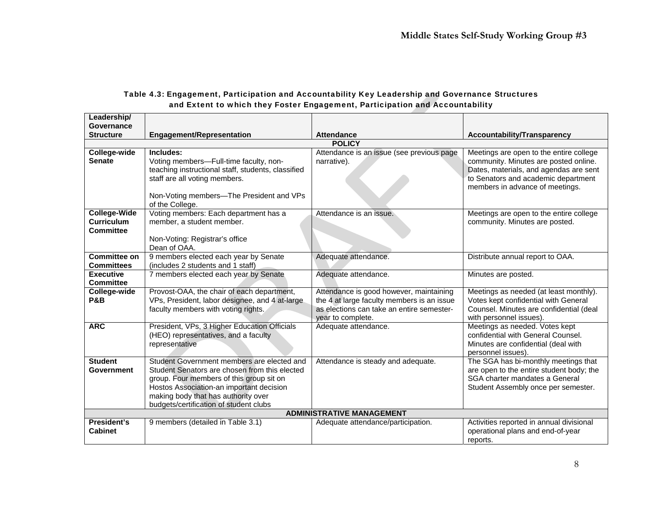| Leadership/                                                  |                                                                                                                                                                                                                                                                      |                                                                                                                                                         |                                                                                                                                                                                                      |
|--------------------------------------------------------------|----------------------------------------------------------------------------------------------------------------------------------------------------------------------------------------------------------------------------------------------------------------------|---------------------------------------------------------------------------------------------------------------------------------------------------------|------------------------------------------------------------------------------------------------------------------------------------------------------------------------------------------------------|
| Governance                                                   |                                                                                                                                                                                                                                                                      |                                                                                                                                                         |                                                                                                                                                                                                      |
| <b>Structure</b>                                             | <b>Engagement/Representation</b>                                                                                                                                                                                                                                     | <b>Attendance</b>                                                                                                                                       | <b>Accountability/Transparency</b>                                                                                                                                                                   |
|                                                              |                                                                                                                                                                                                                                                                      | <b>POLICY</b>                                                                                                                                           |                                                                                                                                                                                                      |
| College-wide<br><b>Senate</b>                                | Includes:<br>Voting members-Full-time faculty, non-<br>teaching instructional staff, students, classified<br>staff are all voting members.<br>Non-Voting members—The President and VPs<br>of the College.                                                            | Attendance is an issue (see previous page<br>narrative).                                                                                                | Meetings are open to the entire college<br>community. Minutes are posted online.<br>Dates, materials, and agendas are sent<br>to Senators and academic department<br>members in advance of meetings. |
| <b>College-Wide</b><br><b>Curriculum</b><br><b>Committee</b> | Voting members: Each department has a<br>member, a student member.<br>Non-Voting: Registrar's office<br>Dean of OAA.                                                                                                                                                 | Attendance is an issue.                                                                                                                                 | Meetings are open to the entire college<br>community. Minutes are posted.                                                                                                                            |
| <b>Committee on</b><br><b>Committees</b>                     | 9 members elected each year by Senate<br>(includes 2 students and 1 staff)                                                                                                                                                                                           | Adequate attendance.                                                                                                                                    | Distribute annual report to OAA.                                                                                                                                                                     |
| <b>Executive</b><br><b>Committee</b>                         | 7 members elected each year by Senate                                                                                                                                                                                                                                | Adequate attendance.                                                                                                                                    | Minutes are posted.                                                                                                                                                                                  |
| College-wide<br><b>P&amp;B</b>                               | Provost-OAA, the chair of each department,<br>VPs, President, labor designee, and 4 at-large<br>faculty members with voting rights.                                                                                                                                  | Attendance is good however, maintaining<br>the 4 at large faculty members is an issue<br>as elections can take an entire semester-<br>year to complete. | Meetings as needed (at least monthly).<br>Votes kept confidential with General<br>Counsel. Minutes are confidential (deal<br>with personnel issues).                                                 |
| <b>ARC</b>                                                   | President, VPs, 3 Higher Education Officials<br>(HEO) representatives, and a faculty<br>representative                                                                                                                                                               | Adequate attendance.                                                                                                                                    | Meetings as needed. Votes kept<br>confidential with General Counsel.<br>Minutes are confidential (deal with<br>personnel issues).                                                                    |
| <b>Student</b><br>Government                                 | Student Government members are elected and<br>Student Senators are chosen from this elected<br>group. Four members of this group sit on<br>Hostos Association-an important decision<br>making body that has authority over<br>budgets/certification of student clubs | Attendance is steady and adequate.                                                                                                                      | The SGA has bi-monthly meetings that<br>are open to the entire student body; the<br>SGA charter mandates a General<br>Student Assembly once per semester.                                            |
|                                                              |                                                                                                                                                                                                                                                                      | <b>ADMINISTRATIVE MANAGEMENT</b>                                                                                                                        |                                                                                                                                                                                                      |
| President's<br><b>Cabinet</b>                                | 9 members (detailed in Table 3.1)                                                                                                                                                                                                                                    | Adequate attendance/participation.                                                                                                                      | Activities reported in annual divisional<br>operational plans and end-of-year<br>reports.                                                                                                            |

## Table 4.3: Engagement, Participation and Accountability Key Leadership and Governance Structures and Extent to which they Foster Engagement, Participation and Accountability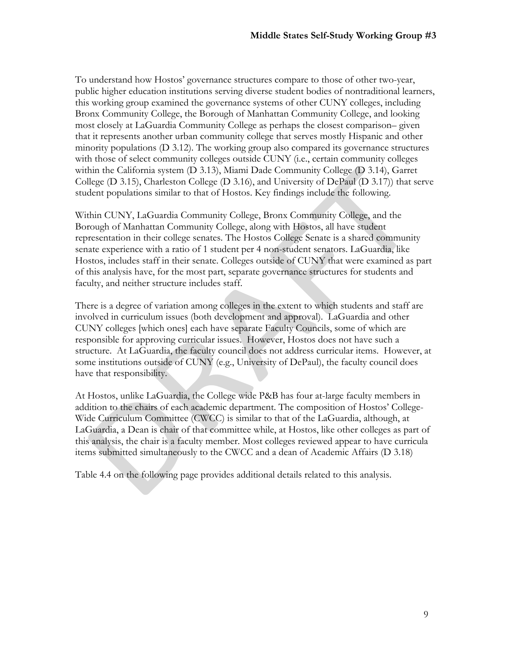To understand how Hostos' governance structures compare to those of other two-year, public higher education institutions serving diverse student bodies of nontraditional learners, this working group examined the governance systems of other CUNY colleges, including Bronx Community College, the Borough of Manhattan Community College, and looking most closely at LaGuardia Community College as perhaps the closest comparison– given that it represents another urban community college that serves mostly Hispanic and other minority populations (D 3.12). The working group also compared its governance structures with those of select community colleges outside CUNY (i.e., certain community colleges within the California system (D 3.13), Miami Dade Community College (D 3.14), Garret College (D 3.15), Charleston College (D 3.16), and University of DePaul (D 3.17)) that serve student populations similar to that of Hostos. Key findings include the following.

Within CUNY, LaGuardia Community College, Bronx Community College, and the Borough of Manhattan Community College, along with Hostos, all have student representation in their college senates. The Hostos College Senate is a shared community senate experience with a ratio of 1 student per 4 non-student senators. LaGuardia, like Hostos, includes staff in their senate. Colleges outside of CUNY that were examined as part of this analysis have, for the most part, separate governance structures for students and faculty, and neither structure includes staff.

There is a degree of variation among colleges in the extent to which students and staff are involved in curriculum issues (both development and approval). LaGuardia and other CUNY colleges [which ones] each have separate Faculty Councils, some of which are responsible for approving curricular issues. However, Hostos does not have such a structure. At LaGuardia, the faculty council does not address curricular items. However, at some institutions outside of CUNY (e.g., University of DePaul), the faculty council does have that responsibility.

At Hostos, unlike LaGuardia, the College wide P&B has four at-large faculty members in addition to the chairs of each academic department. The composition of Hostos' College-Wide Curriculum Committee (CWCC) is similar to that of the LaGuardia, although, at LaGuardia, a Dean is chair of that committee while, at Hostos, like other colleges as part of this analysis, the chair is a faculty member. Most colleges reviewed appear to have curricula items submitted simultaneously to the CWCC and a dean of Academic Affairs (D 3.18)

Table 4.4 on the following page provides additional details related to this analysis.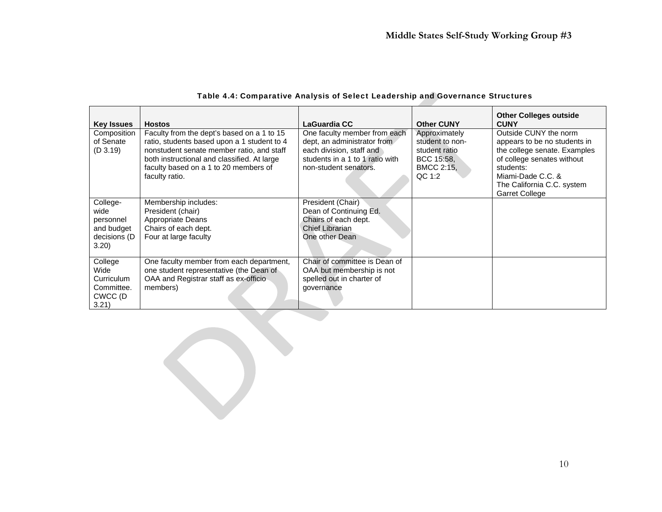| <b>Key Issues</b>                                                   | <b>Hostos</b>                                                                                                                                                                                                                                    | LaGuardia CC                                                                                                                                        | <b>Other CUNY</b>                                                                       | <b>Other Colleges outside</b><br><b>CUNY</b>                                                                                                                                                                 |
|---------------------------------------------------------------------|--------------------------------------------------------------------------------------------------------------------------------------------------------------------------------------------------------------------------------------------------|-----------------------------------------------------------------------------------------------------------------------------------------------------|-----------------------------------------------------------------------------------------|--------------------------------------------------------------------------------------------------------------------------------------------------------------------------------------------------------------|
| Composition<br>of Senate<br>(D 3.19)                                | Faculty from the dept's based on a 1 to 15<br>ratio, students based upon a 1 student to 4<br>nonstudent senate member ratio, and staff<br>both instructional and classified. At large<br>faculty based on a 1 to 20 members of<br>faculty ratio. | One faculty member from each<br>dept, an administrator from<br>each division, staff and<br>students in a 1 to 1 ratio with<br>non-student senators. | Approximately<br>student to non-<br>student ratio<br>BCC 15:58.<br>BMCC 2:15,<br>QC 1:2 | Outside CUNY the norm<br>appears to be no students in<br>the college senate. Examples<br>of college senates without<br>students:<br>Miami-Dade C.C. &<br>The California C.C. system<br><b>Garret College</b> |
| College-<br>wide<br>personnel<br>and budget<br>decisions (D<br>3.20 | Membership includes:<br>President (chair)<br>Appropriate Deans<br>Chairs of each dept.<br>Four at large faculty                                                                                                                                  | President (Chair)<br>Dean of Continuing Ed.<br>Chairs of each dept.<br>Chief Librarian<br>One other Dean                                            |                                                                                         |                                                                                                                                                                                                              |
| College<br>Wide<br>Curriculum<br>Committee.<br>CWCC (D<br>3.21)     | One faculty member from each department,<br>one student representative (the Dean of<br>OAA and Registrar staff as ex-officio<br>members)                                                                                                         | Chair of committee is Dean of<br>OAA but membership is not<br>spelled out in charter of<br>governance                                               |                                                                                         |                                                                                                                                                                                                              |

**Second** Content

#### Table 4.4: Comparative Analysis of Select Leadership and Governance Structures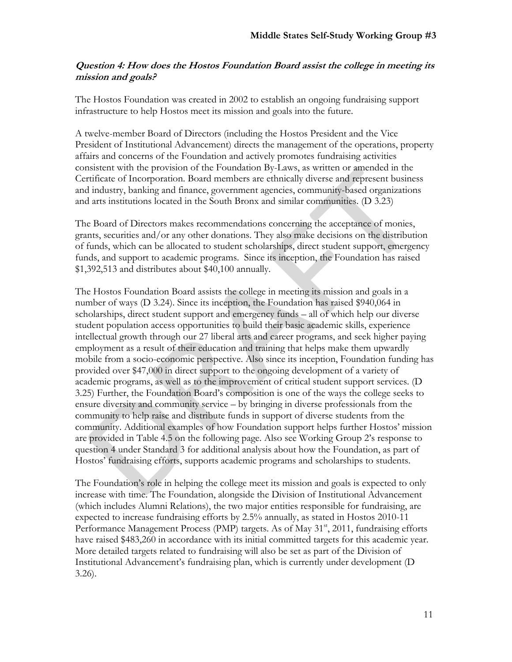## **Question 4: How does the Hostos Foundation Board assist the college in meeting its mission and goals?**

The Hostos Foundation was created in 2002 to establish an ongoing fundraising support infrastructure to help Hostos meet its mission and goals into the future.

A twelve-member Board of Directors (including the Hostos President and the Vice President of Institutional Advancement) directs the management of the operations, property affairs and concerns of the Foundation and actively promotes fundraising activities consistent with the provision of the Foundation By-Laws, as written or amended in the Certificate of Incorporation. Board members are ethnically diverse and represent business and industry, banking and finance, government agencies, community-based organizations and arts institutions located in the South Bronx and similar communities. (D 3.23)

The Board of Directors makes recommendations concerning the acceptance of monies, grants, securities and/or any other donations. They also make decisions on the distribution of funds, which can be allocated to student scholarships, direct student support, emergency funds, and support to academic programs. Since its inception, the Foundation has raised \$1,392,513 and distributes about \$40,100 annually.

The Hostos Foundation Board assists the college in meeting its mission and goals in a number of ways (D 3.24). Since its inception, the Foundation has raised \$940,064 in scholarships, direct student support and emergency funds – all of which help our diverse student population access opportunities to build their basic academic skills, experience intellectual growth through our 27 liberal arts and career programs, and seek higher paying employment as a result of their education and training that helps make them upwardly mobile from a socio-economic perspective. Also since its inception, Foundation funding has provided over \$47,000 in direct support to the ongoing development of a variety of academic programs, as well as to the improvement of critical student support services. (D 3.25) Further, the Foundation Board's composition is one of the ways the college seeks to ensure diversity and community service – by bringing in diverse professionals from the community to help raise and distribute funds in support of diverse students from the community. Additional examples of how Foundation support helps further Hostos' mission are provided in Table 4.5 on the following page. Also see Working Group 2's response to question 4 under Standard 3 for additional analysis about how the Foundation, as part of Hostos' fundraising efforts, supports academic programs and scholarships to students.

The Foundation's role in helping the college meet its mission and goals is expected to only increase with time. The Foundation, alongside the Division of Institutional Advancement (which includes Alumni Relations), the two major entities responsible for fundraising, are expected to increase fundraising efforts by 2.5% annually, as stated in Hostos 2010-11 Performance Management Process (PMP) targets. As of May 31<sup>st</sup>, 2011, fundraising efforts have raised \$483,260 in accordance with its initial committed targets for this academic year. More detailed targets related to fundraising will also be set as part of the Division of Institutional Advancement's fundraising plan, which is currently under development (D 3.26).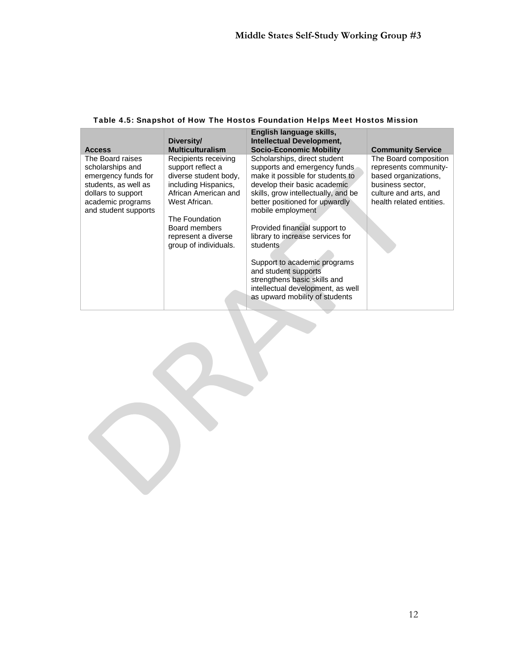|                                                                 | Diversity/                                                         | English language skills,<br>Intellectual Development,                                                 |                                                                        |
|-----------------------------------------------------------------|--------------------------------------------------------------------|-------------------------------------------------------------------------------------------------------|------------------------------------------------------------------------|
| <b>Access</b>                                                   | <b>Multiculturalism</b>                                            | <b>Socio-Economic Mobility</b>                                                                        | <b>Community Service</b>                                               |
| The Board raises<br>scholarships and<br>emergency funds for     | Recipients receiving<br>support reflect a<br>diverse student body, | Scholarships, direct student<br>supports and emergency funds<br>make it possible for students to      | The Board composition<br>represents community-<br>based organizations, |
| students, as well as<br>dollars to support<br>academic programs | including Hispanics,<br>African American and<br>West African.      | develop their basic academic<br>skills, grow intellectually, and be<br>better positioned for upwardly | business sector,<br>culture and arts, and<br>health related entities.  |
| and student supports                                            | The Foundation<br>Board members                                    | mobile employment<br>Provided financial support to                                                    |                                                                        |
|                                                                 | represent a diverse<br>group of individuals.                       | library to increase services for<br>students                                                          |                                                                        |
|                                                                 |                                                                    | Support to academic programs<br>and student supports                                                  |                                                                        |
|                                                                 |                                                                    | strengthens basic skills and<br>intellectual development, as well<br>as upward mobility of students   |                                                                        |

## Table 4.5: Snapshot of How The Hostos Foundation Helps Meet Hostos Mission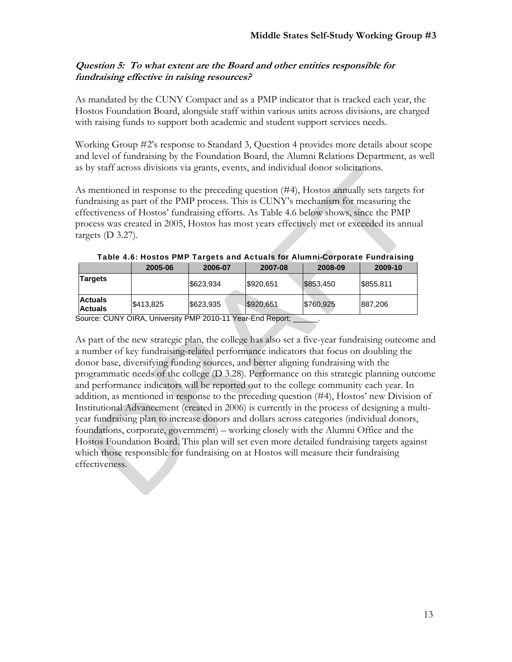# **Question 5: To what extent are the Board and other entities responsible for fundraising effective in raising resources?**

As mandated by the CUNY Compact and as a PMP indicator that is tracked each year, the Hostos Foundation Board, alongside staff within various units across divisions, are charged with raising funds to support both academic and student support services needs.

Working Group #2's response to Standard 3, Question 4 provides more details about scope and level of fundraising by the Foundation Board, the Alumni Relations Department, as well as by staff across divisions via grants, events, and individual donor solicitations.

As mentioned in response to the preceding question (#4), Hostos annually sets targets for fundraising as part of the PMP process. This is CUNY's mechanism for measuring the effectiveness of Hostos' fundraising efforts. As Table 4.6 below shows, since the PMP process was created in 2005, Hostos has most years effectively met or exceeded its annual targets  $(D 3.27)$ .

|                                  | 2005-06   | 2006-07   | 2007-08   | 2008-09   | 2009-10   |
|----------------------------------|-----------|-----------|-----------|-----------|-----------|
| Targets                          |           | \$623,934 | \$920,651 | \$853,450 | \$855,811 |
| <b>Actuals</b><br><b>Actuals</b> | \$413,825 | \$623,935 | \$920,651 | \$760,925 | 887,206   |

| Table 4.6: Hostos PMP Targets and Actuals for Alumni-Corporate Fundraising |  |  |
|----------------------------------------------------------------------------|--|--|
|                                                                            |  |  |
|                                                                            |  |  |
|                                                                            |  |  |

Source: CUNY OIRA, University PMP 2010-11 Year-End Report;

As part of the new strategic plan, the college has also set a five-year fundraising outcome and a number of key fundraising-related performance indicators that focus on doubling the donor base, diversifying funding sources, and better aligning fundraising with the programmatic needs of the college (D 3.28). Performance on this strategic planning outcome and performance indicators will be reported out to the college community each year. In addition, as mentioned in response to the preceding question (#4), Hostos' new Division of Institutional Advancement (created in 2006) is currently in the process of designing a multiyear fundraising plan to increase donors and dollars across categories (individual donors, foundations, corporate, government) – working closely with the Alumni Office and the Hostos Foundation Board. This plan will set even more detailed fundraising targets against which those responsible for fundraising on at Hostos will measure their fundraising effectiveness.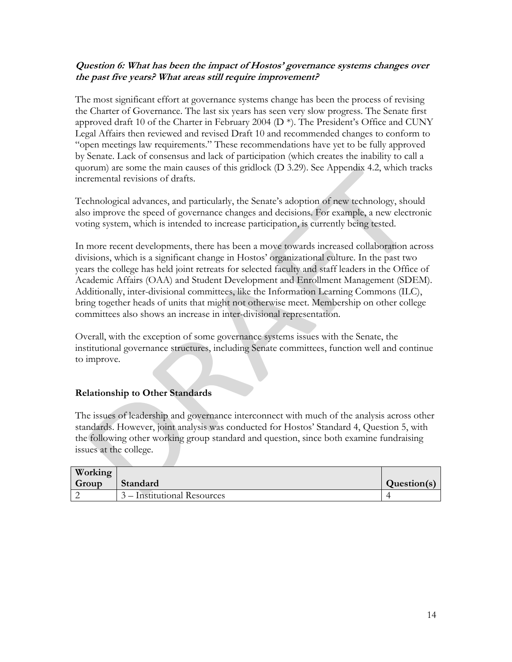# **Question 6: What has been the impact of Hostos' governance systems changes over the past five years? What areas still require improvement?**

The most significant effort at governance systems change has been the process of revising the Charter of Governance. The last six years has seen very slow progress. The Senate first approved draft 10 of the Charter in February 2004 (D \*). The President's Office and CUNY Legal Affairs then reviewed and revised Draft 10 and recommended changes to conform to "open meetings law requirements." These recommendations have yet to be fully approved by Senate. Lack of consensus and lack of participation (which creates the inability to call a quorum) are some the main causes of this gridlock (D 3.29). See Appendix 4.2, which tracks incremental revisions of drafts.

Technological advances, and particularly, the Senate's adoption of new technology, should also improve the speed of governance changes and decisions. For example, a new electronic voting system, which is intended to increase participation, is currently being tested.

In more recent developments, there has been a move towards increased collaboration across divisions, which is a significant change in Hostos' organizational culture. In the past two years the college has held joint retreats for selected faculty and staff leaders in the Office of Academic Affairs (OAA) and Student Development and Enrollment Management (SDEM). Additionally, inter-divisional committees, like the Information Learning Commons (ILC), bring together heads of units that might not otherwise meet. Membership on other college committees also shows an increase in inter-divisional representation.

Overall, with the exception of some governance systems issues with the Senate, the institutional governance structures, including Senate committees, function well and continue to improve.

# **Relationship to Other Standards**

The issues of leadership and governance interconnect with much of the analysis across other standards. However, joint analysis was conducted for Hostos' Standard 4, Question 5, with the following other working group standard and question, since both examine fundraising issues at the college.

| Working |                             |             |
|---------|-----------------------------|-------------|
| Group   | Standard                    | Question(s) |
|         | 3 – Institutional Resources |             |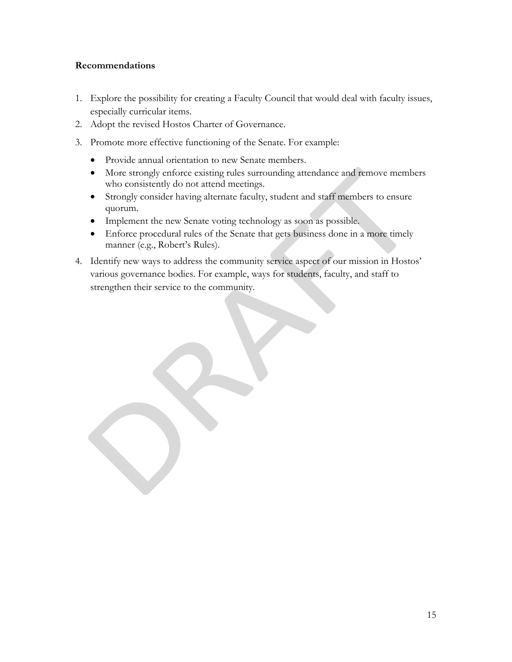## **Recommendations**

- 1. Explore the possibility for creating a Faculty Council that would deal with faculty issues, especially curricular items.
- 2. Adopt the revised Hostos Charter of Governance.
- 3. Promote more effective functioning of the Senate. For example:
	- Provide annual orientation to new Senate members.
	- More strongly enforce existing rules surrounding attendance and remove members who consistently do not attend meetings.
	- Strongly consider having alternate faculty, student and staff members to ensure quorum.
	- Implement the new Senate voting technology as soon as possible.
	- Enforce procedural rules of the Senate that gets business done in a more timely manner (e.g., Robert's Rules).
- 4. Identify new ways to address the community service aspect of our mission in Hostos' various governance bodies. For example, ways for students, faculty, and staff to strengthen their service to the community.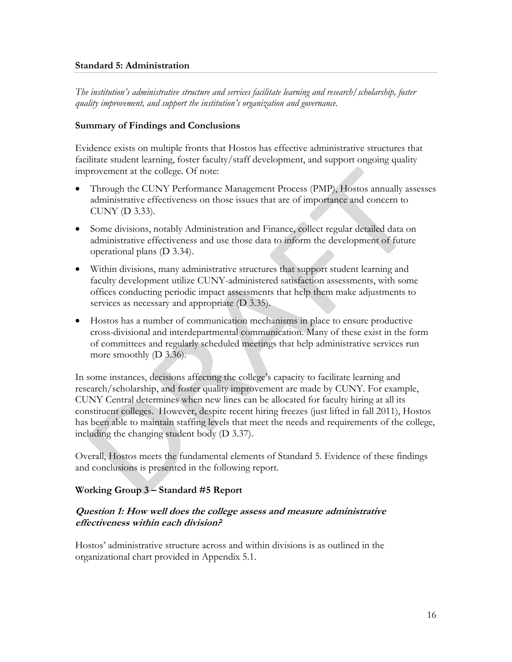#### **Standard 5: Administration**

*The institution's administrative structure and services facilitate learning and research/scholarship, foster quality improvement, and support the institution's organization and governance.* 

## **Summary of Findings and Conclusions**

Evidence exists on multiple fronts that Hostos has effective administrative structures that facilitate student learning, foster faculty/staff development, and support ongoing quality improvement at the college. Of note:

- Through the CUNY Performance Management Process (PMP), Hostos annually assesses administrative effectiveness on those issues that are of importance and concern to CUNY (D 3.33).
- Some divisions, notably Administration and Finance, collect regular detailed data on administrative effectiveness and use those data to inform the development of future operational plans (D 3.34).
- Within divisions, many administrative structures that support student learning and faculty development utilize CUNY-administered satisfaction assessments, with some offices conducting periodic impact assessments that help them make adjustments to services as necessary and appropriate (D 3.35).
- Hostos has a number of communication mechanisms in place to ensure productive cross-divisional and interdepartmental communication. Many of these exist in the form of committees and regularly scheduled meetings that help administrative services run more smoothly (D 3.36).

In some instances, decisions affecting the college's capacity to facilitate learning and research/scholarship, and foster quality improvement are made by CUNY. For example, CUNY Central determines when new lines can be allocated for faculty hiring at all its constituent colleges. However, despite recent hiring freezes (just lifted in fall 2011), Hostos has been able to maintain staffing levels that meet the needs and requirements of the college, including the changing student body (D 3.37).

Overall, Hostos meets the fundamental elements of Standard 5. Evidence of these findings and conclusions is presented in the following report.

## **Working Group 3 – Standard #5 Report**

## **Question 1: How well does the college assess and measure administrative effectiveness within each division?**

Hostos' administrative structure across and within divisions is as outlined in the organizational chart provided in Appendix 5.1.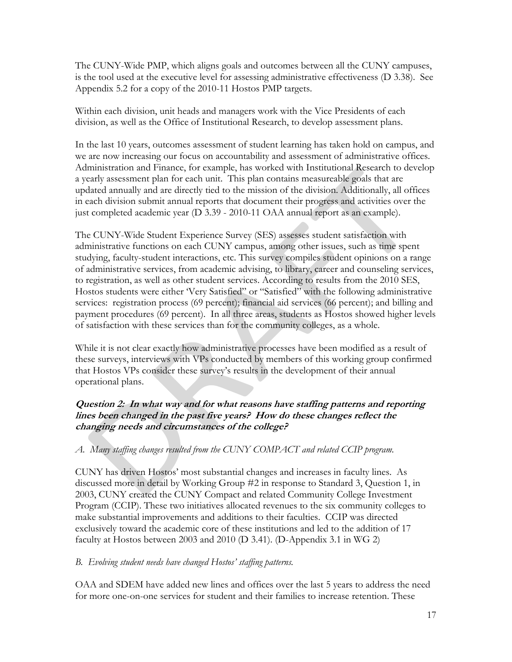The CUNY-Wide PMP, which aligns goals and outcomes between all the CUNY campuses, is the tool used at the executive level for assessing administrative effectiveness (D 3.38). See Appendix 5.2 for a copy of the 2010-11 Hostos PMP targets.

Within each division, unit heads and managers work with the Vice Presidents of each division, as well as the Office of Institutional Research, to develop assessment plans.

In the last 10 years, outcomes assessment of student learning has taken hold on campus, and we are now increasing our focus on accountability and assessment of administrative offices. Administration and Finance, for example, has worked with Institutional Research to develop a yearly assessment plan for each unit. This plan contains measureable goals that are updated annually and are directly tied to the mission of the division. Additionally, all offices in each division submit annual reports that document their progress and activities over the just completed academic year (D 3.39 - 2010-11 OAA annual report as an example).

The CUNY-Wide Student Experience Survey (SES) assesses student satisfaction with administrative functions on each CUNY campus, among other issues, such as time spent studying, faculty-student interactions, etc. This survey compiles student opinions on a range of administrative services, from academic advising, to library, career and counseling services, to registration, as well as other student services. According to results from the 2010 SES, Hostos students were either 'Very Satisfied" or "Satisfied" with the following administrative services: registration process (69 percent); financial aid services (66 percent); and billing and payment procedures (69 percent). In all three areas, students as Hostos showed higher levels of satisfaction with these services than for the community colleges, as a whole.

While it is not clear exactly how administrative processes have been modified as a result of these surveys, interviews with VPs conducted by members of this working group confirmed that Hostos VPs consider these survey's results in the development of their annual operational plans.

# **Question 2: In what way and for what reasons have staffing patterns and reporting lines been changed in the past five years? How do these changes reflect the changing needs and circumstances of the college?**

*A. Many staffing changes resulted from the CUNY COMPACT and related CCIP program.* 

CUNY has driven Hostos' most substantial changes and increases in faculty lines. As discussed more in detail by Working Group #2 in response to Standard 3, Question 1, in 2003, CUNY created the CUNY Compact and related Community College Investment Program (CCIP). These two initiatives allocated revenues to the six community colleges to make substantial improvements and additions to their faculties. CCIP was directed exclusively toward the academic core of these institutions and led to the addition of 17 faculty at Hostos between 2003 and 2010 (D 3.41). (D-Appendix 3.1 in WG 2)

# *B. Evolving student needs have changed Hostos' staffing patterns.*

OAA and SDEM have added new lines and offices over the last 5 years to address the need for more one-on-one services for student and their families to increase retention. These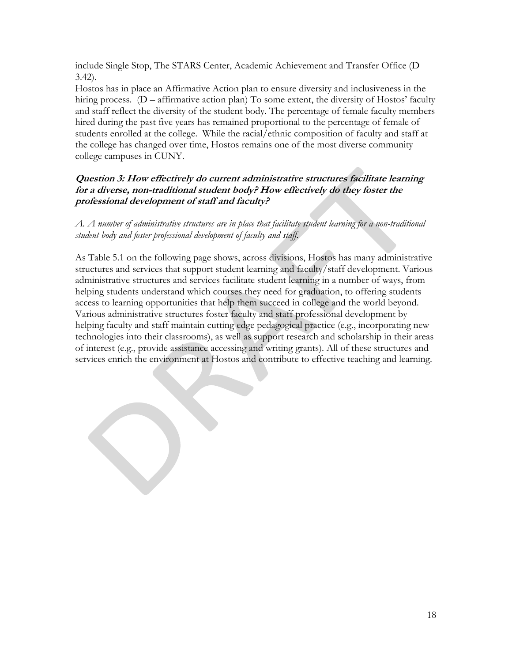include Single Stop, The STARS Center, Academic Achievement and Transfer Office (D 3.42).

Hostos has in place an Affirmative Action plan to ensure diversity and inclusiveness in the hiring process. (D – affirmative action plan) To some extent, the diversity of Hostos' faculty and staff reflect the diversity of the student body. The percentage of female faculty members hired during the past five years has remained proportional to the percentage of female of students enrolled at the college. While the racial/ethnic composition of faculty and staff at the college has changed over time, Hostos remains one of the most diverse community college campuses in CUNY.

# **Question 3: How effectively do current administrative structures facilitate learning for a diverse, non-traditional student body? How effectively do they foster the professional development of staff and faculty?**

*A. A number of administrative structures are in place that facilitate student learning for a non-traditional student body and foster professional development of faculty and staff.* 

As Table 5.1 on the following page shows, across divisions, Hostos has many administrative structures and services that support student learning and faculty/staff development. Various administrative structures and services facilitate student learning in a number of ways, from helping students understand which courses they need for graduation, to offering students access to learning opportunities that help them succeed in college and the world beyond. Various administrative structures foster faculty and staff professional development by helping faculty and staff maintain cutting edge pedagogical practice (e.g., incorporating new technologies into their classrooms), as well as support research and scholarship in their areas of interest (e.g., provide assistance accessing and writing grants). All of these structures and services enrich the environment at Hostos and contribute to effective teaching and learning.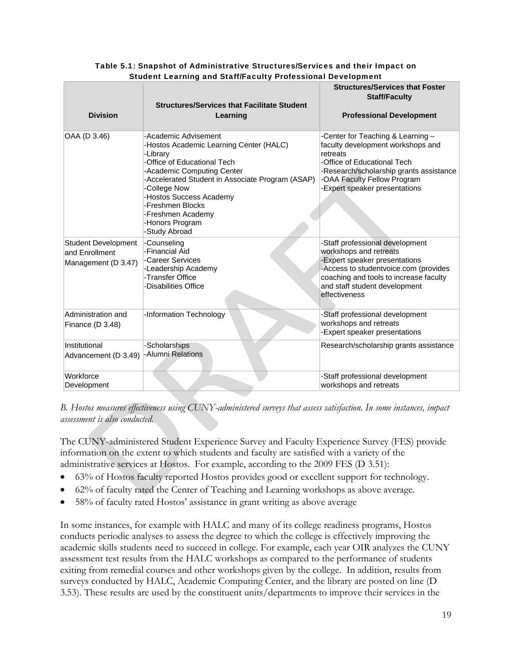| <b>Division</b>                                                     | Student Learning and Stari/Faculty Professional Development<br><b>Structures/Services that Facilitate Student</b><br>Learning                                                                                                                                                                                        | <b>Structures/Services that Foster</b><br><b>Staff/Faculty</b><br><b>Professional Development</b>                                                                                                                               |
|---------------------------------------------------------------------|----------------------------------------------------------------------------------------------------------------------------------------------------------------------------------------------------------------------------------------------------------------------------------------------------------------------|---------------------------------------------------------------------------------------------------------------------------------------------------------------------------------------------------------------------------------|
| OAA (D 3.46)                                                        | -Academic Advisement<br>-Hostos Academic Learning Center (HALC)<br>-Library<br>-Office of Educational Tech<br>-Academic Computing Center<br>-Accelerated Student in Associate Program (ASAP)<br>-College Now<br>-Hostos Success Academy<br>-Freshmen Blocks<br>-Freshmen Academy<br>-Honors Program<br>-Study Abroad | -Center for Teaching & Learning -<br>faculty development workshops and<br>retreats<br>-Office of Educational Tech<br>-Research/scholarship grants assistance<br>-OAA Faculty Fellow Program<br>-Expert speaker presentations    |
| <b>Student Development</b><br>and Enrollment<br>Management (D 3.47) | -Counseling<br>-Financial Aid<br>-Career Services<br>-Leadership Academy<br>-Transfer Office<br>-Disabilities Office                                                                                                                                                                                                 | -Staff professional development<br>workshops and retreats<br>-Expert speaker presentations<br>-Access to studentvoice.com (provides<br>coaching and tools to increase faculty<br>and staff student development<br>effectiveness |
| Administration and<br>Finance $(D 3.48)$                            | -Information Technology                                                                                                                                                                                                                                                                                              | -Staff professional development<br>workshops and retreats<br>-Expert speaker presentations                                                                                                                                      |
| Institutional<br>Advancement (D 3.49)                               | -Scholarships<br>-Alumni Relations                                                                                                                                                                                                                                                                                   | Research/scholarship grants assistance                                                                                                                                                                                          |
| Workforce<br>Development                                            |                                                                                                                                                                                                                                                                                                                      | -Staff professional development<br>workshops and retreats                                                                                                                                                                       |

## Table 5.1: Snapshot of Administrative Structures/Services and their Impact on Student Learning and Staff/Faculty Professional Development

*B. Hostos measures effectiveness using CUNY-administered surveys that assess satisfaction. In some instances, impact assessment is also conducted.* 

The CUNY-administered Student Experience Survey and Faculty Experience Survey (FES) provide information on the extent to which students and faculty are satisfied with a variety of the administrative services at Hostos. For example, according to the 2009 FES (D 3.51):

- 63% of Hostos faculty reported Hostos provides good or excellent support for technology.
- 62% of faculty rated the Center of Teaching and Learning workshops as above average.
- 58% of faculty rated Hostos' assistance in grant writing as above average

In some instances, for example with HALC and many of its college readiness programs, Hostos conducts periodic analyses to assess the degree to which the college is effectively improving the academic skills students need to succeed in college. For example, each year OIR analyzes the CUNY assessment test results from the HALC workshops as compared to the performance of students exiting from remedial courses and other workshops given by the college. In addition, results from surveys conducted by HALC, Academic Computing Center, and the library are posted on line (D 3.53). These results are used by the constituent units/departments to improve their services in the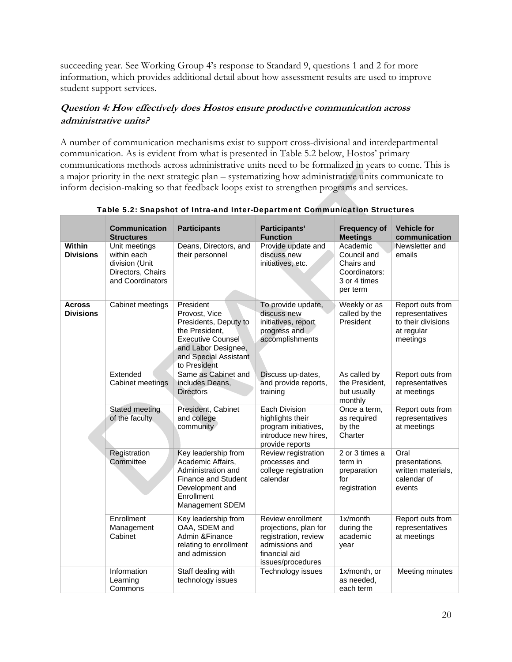succeeding year. See Working Group 4's response to Standard 9, questions 1 and 2 for more information, which provides additional detail about how assessment results are used to improve student support services.

# **Question 4: How effectively does Hostos ensure productive communication across administrative units?**

A number of communication mechanisms exist to support cross-divisional and interdepartmental communication. As is evident from what is presented in Table 5.2 below, Hostos' primary communications methods across administrative units need to be formalized in years to come. This is a major priority in the next strategic plan – systematizing how administrative units communicate to inform decision-making so that feedback loops exist to strengthen programs and services.

|                                   | <b>Communication</b><br><b>Structures</b>                                               | <b>Participants</b>                                                                                                                                               | Participants'<br><b>Function</b>                                                                                           | <b>Frequency of</b><br><b>Meetings</b>                                             | <b>Vehicle for</b><br>communication                                                 |
|-----------------------------------|-----------------------------------------------------------------------------------------|-------------------------------------------------------------------------------------------------------------------------------------------------------------------|----------------------------------------------------------------------------------------------------------------------------|------------------------------------------------------------------------------------|-------------------------------------------------------------------------------------|
| <b>Within</b><br><b>Divisions</b> | Unit meetings<br>within each<br>division (Unit<br>Directors, Chairs<br>and Coordinators | Deans, Directors, and<br>their personnel                                                                                                                          | Provide update and<br>discuss new<br>initiatives, etc.                                                                     | Academic<br>Council and<br>Chairs and<br>Coordinators:<br>3 or 4 times<br>per term | Newsletter and<br>emails                                                            |
| <b>Across</b><br><b>Divisions</b> | Cabinet meetings                                                                        | President<br>Provost, Vice<br>Presidents, Deputy to<br>the President,<br><b>Executive Counsel</b><br>and Labor Designee,<br>and Special Assistant<br>to President | To provide update,<br>discuss new<br>initiatives, report<br>progress and<br>accomplishments                                | Weekly or as<br>called by the<br>President                                         | Report outs from<br>representatives<br>to their divisions<br>at regular<br>meetings |
|                                   | Extended<br>Cabinet meetings                                                            | Same as Cabinet and<br>includes Deans,<br><b>Directors</b>                                                                                                        | Discuss up-dates,<br>and provide reports,<br>training                                                                      | As called by<br>the President,<br>but usually<br>monthly                           | Report outs from<br>representatives<br>at meetings                                  |
|                                   | <b>Stated meeting</b><br>of the faculty                                                 | President, Cabinet<br>and college<br>community                                                                                                                    | Each Division<br>highlights their<br>program initiatives,<br>introduce new hires,<br>provide reports                       | Once a term,<br>as required<br>by the<br>Charter                                   | Report outs from<br>representatives<br>at meetings                                  |
|                                   | Registration<br>Committee                                                               | Key leadership from<br>Academic Affairs,<br>Administration and<br><b>Finance and Student</b><br>Development and<br>Enrollment<br>Management SDEM                  | Review registration<br>processes and<br>college registration<br>calendar                                                   | 2 or 3 times a<br>term in<br>preparation<br>for<br>registration                    | Oral<br>presentations,<br>written materials,<br>calendar of<br>events               |
|                                   | Enrollment<br>Management<br>Cabinet                                                     | Key leadership from<br>OAA, SDEM and<br>Admin & Finance<br>relating to enrollment<br>and admission                                                                | Review enrollment<br>projections, plan for<br>registration, review<br>admissions and<br>financial aid<br>issues/procedures | 1x/month<br>during the<br>academic<br>year                                         | Report outs from<br>representatives<br>at meetings                                  |
|                                   | Information<br>Learning<br>Commons                                                      | Staff dealing with<br>technology issues                                                                                                                           | Technology issues                                                                                                          | 1x/month, or<br>as needed.<br>each term                                            | Meeting minutes                                                                     |

Table 5.2: Snapshot of Intra-and Inter-Department Communication Structures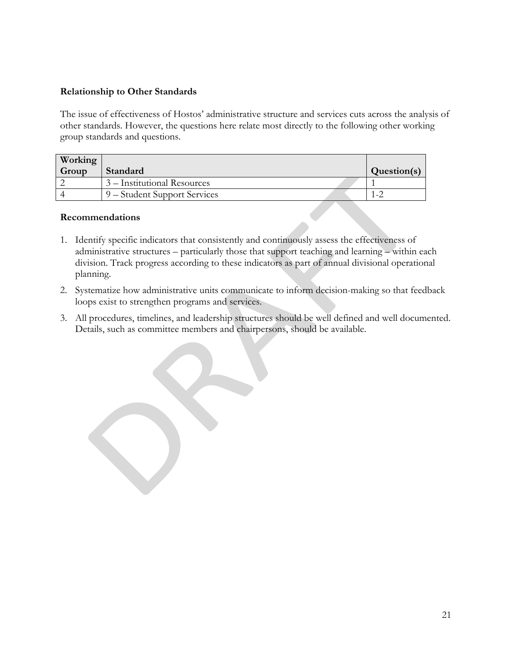# **Relationship to Other Standards**

The issue of effectiveness of Hostos' administrative structure and services cuts across the analysis of other standards. However, the questions here relate most directly to the following other working group standards and questions.

| <b>Working</b> |                              |             |
|----------------|------------------------------|-------------|
| Group          | Standard                     | Question(s) |
|                | 3 – Institutional Resources  |             |
|                | 9 – Student Support Services |             |

## **Recommendations**

- 1. Identify specific indicators that consistently and continuously assess the effectiveness of administrative structures – particularly those that support teaching and learning – within each division. Track progress according to these indicators as part of annual divisional operational planning.
- 2. Systematize how administrative units communicate to inform decision-making so that feedback loops exist to strengthen programs and services.
- 3. All procedures, timelines, and leadership structures should be well defined and well documented. Details, such as committee members and chairpersons, should be available.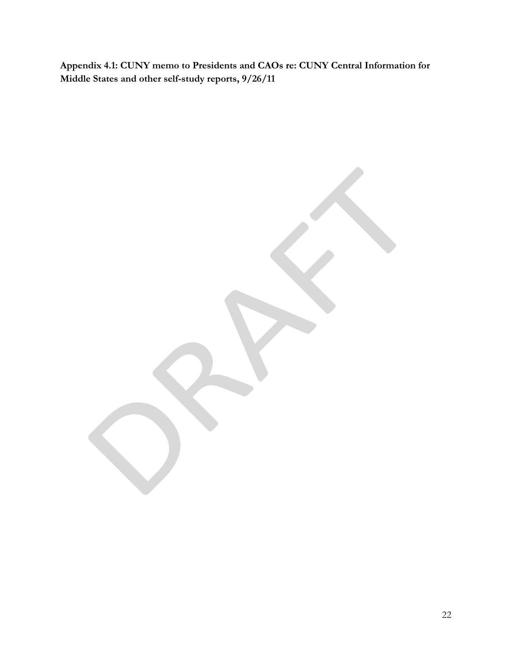**Appendix 4.1: CUNY memo to Presidents and CAOs re: CUNY Central Information for Middle States and other self-study reports, 9/26/11** 

22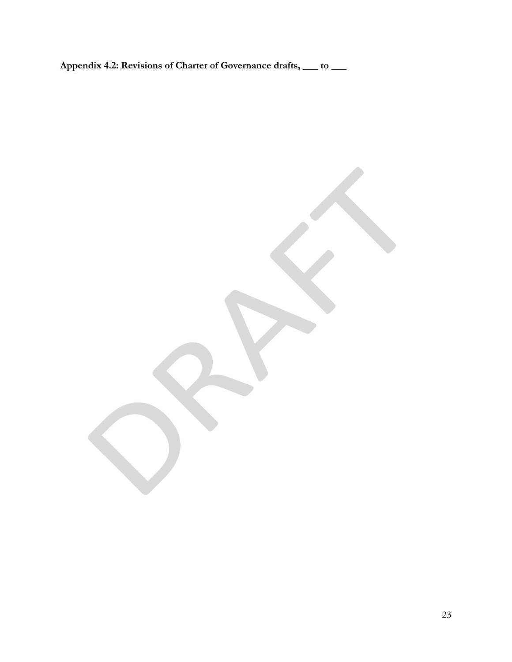**Appendix 4.2: Revisions of Charter of Governance drafts, \_\_\_ to \_\_\_** 

23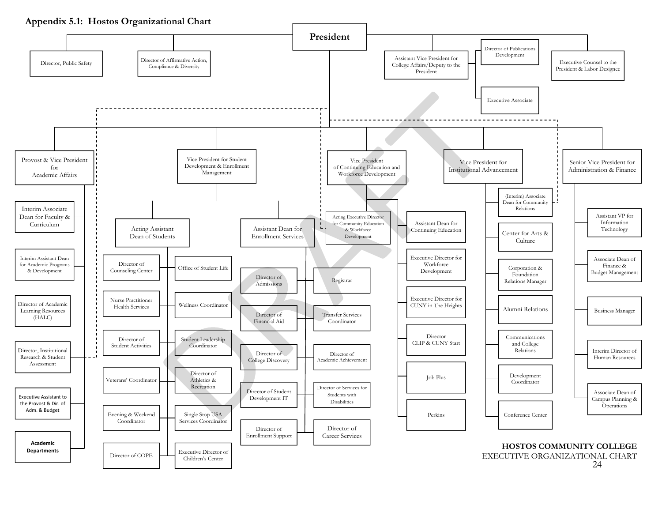**Appendix 5.1: Hostos Organizational Chart**